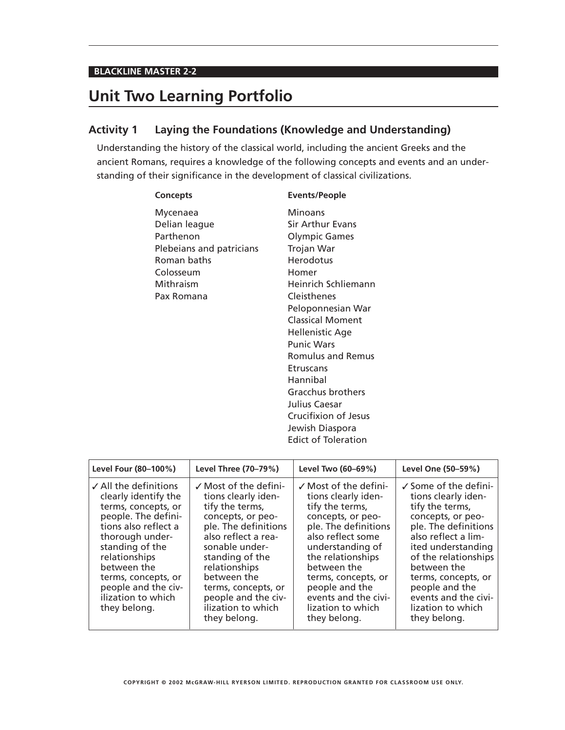#### **BLACKLINE MASTER 2-2**

# **Unit Two Learning Portfolio**

### **Activity 1 Laying the Foundations (Knowledge and Understanding)**

Understanding the history of the classical world, including the ancient Greeks and the ancient Romans, requires a knowledge of the following concepts and events and an understanding of their significance in the development of classical civilizations.

#### **Concepts Events/People**

- Mycenaea Minoans Delian league Sir Arthur Evans Parthenon **Olympic Games** Plebeians and patricians Trojan War Roman baths **Herodotus** Colosseum Homer Mithraism Heinrich Schliemann Pax Romana Cleisthenes
- Peloponnesian War Classical Moment Hellenistic Age Punic Wars Romulus and Remus **Etruscans** Hannibal Gracchus brothers Julius Caesar Crucifixion of Jesus Jewish Diaspora Edict of Toleration

| Level Four (80-100%)                                                                                                                                                                                                                                                                 | Level Three (70-79%)                                                                                                                                                                                                                                                                                    | Level Two (60-69%)                                                                                                                                                                                                                                                                                         | Level One (50-59%)                                                                                                                                                                                                                                                                                                |
|--------------------------------------------------------------------------------------------------------------------------------------------------------------------------------------------------------------------------------------------------------------------------------------|---------------------------------------------------------------------------------------------------------------------------------------------------------------------------------------------------------------------------------------------------------------------------------------------------------|------------------------------------------------------------------------------------------------------------------------------------------------------------------------------------------------------------------------------------------------------------------------------------------------------------|-------------------------------------------------------------------------------------------------------------------------------------------------------------------------------------------------------------------------------------------------------------------------------------------------------------------|
| $\angle$ All the definitions<br>clearly identify the<br>terms, concepts, or<br>people. The defini-<br>tions also reflect a<br>thorough under-<br>standing of the<br>relationships<br>between the<br>terms, concepts, or<br>people and the civ-<br>ilization to which<br>they belong. | $\checkmark$ Most of the defini-<br>tions clearly iden-<br>tify the terms,<br>concepts, or peo-<br>ple. The definitions<br>also reflect a rea-<br>sonable under-<br>standing of the<br>relationships<br>between the<br>terms, concepts, or<br>people and the civ-<br>ilization to which<br>they belong. | $\checkmark$ Most of the defini-<br>tions clearly iden-<br>tify the terms,<br>concepts, or peo-<br>ple. The definitions<br>also reflect some<br>understanding of<br>the relationships<br>between the<br>terms, concepts, or<br>people and the<br>events and the civi-<br>lization to which<br>they belong. | $\checkmark$ Some of the defini-<br>tions clearly iden-<br>tify the terms,<br>concepts, or peo-<br>ple. The definitions<br>also reflect a lim-<br>ited understanding<br>of the relationships<br>between the<br>terms, concepts, or<br>people and the<br>events and the civi-<br>lization to which<br>they belong. |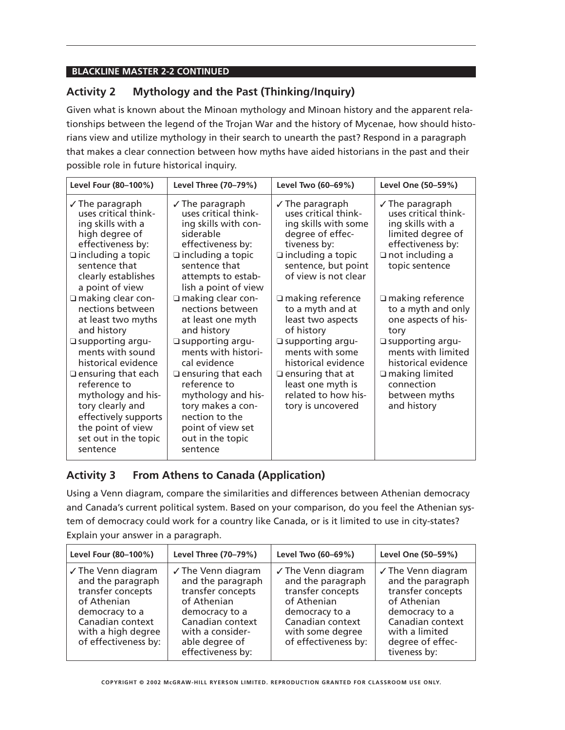### **Activity 2 Mythology and the Past (Thinking/Inquiry)**

Given what is known about the Minoan mythology and Minoan history and the apparent relationships between the legend of the Trojan War and the history of Mycenae, how should historians view and utilize mythology in their search to unearth the past? Respond in a paragraph that makes a clear connection between how myths have aided historians in the past and their possible role in future historical inquiry.

| Level Four (80-100%)                                                                                                                                                                                                                                                                                                       | Level Three (70-79%)                                                                                                                                                                                                                                                                                    | Level Two (60-69%)                                                                                                                                                                                                                         | Level One (50-59%)                                                                                                                                                                                                             |
|----------------------------------------------------------------------------------------------------------------------------------------------------------------------------------------------------------------------------------------------------------------------------------------------------------------------------|---------------------------------------------------------------------------------------------------------------------------------------------------------------------------------------------------------------------------------------------------------------------------------------------------------|--------------------------------------------------------------------------------------------------------------------------------------------------------------------------------------------------------------------------------------------|--------------------------------------------------------------------------------------------------------------------------------------------------------------------------------------------------------------------------------|
| $\sqrt{}$ The paragraph<br>uses critical think-<br>ing skills with a<br>high degree of<br>effectiveness by:<br>$\Box$ including a topic<br>sentence that<br>clearly establishes<br>a point of view                                                                                                                         | $\sqrt{}$ The paragraph<br>uses critical think-<br>ing skills with con-<br>siderable<br>effectiveness by:<br>$\Box$ including a topic<br>sentence that<br>attempts to estab-<br>lish a point of view                                                                                                    | $\sqrt{}$ The paragraph<br>uses critical think-<br>ing skills with some<br>degree of effec-<br>tiveness by:<br>$\Box$ including a topic<br>sentence, but point<br>of view is not clear                                                     | $\sqrt{}$ The paragraph<br>uses critical think-<br>ing skills with a<br>limited degree of<br>effectiveness by:<br>$\Box$ not including a<br>topic sentence                                                                     |
| $\Box$ making clear con-<br>nections between<br>at least two myths<br>and history<br>□ supporting argu-<br>ments with sound<br>historical evidence<br>$\Box$ ensuring that each<br>reference to<br>mythology and his-<br>tory clearly and<br>effectively supports<br>the point of view<br>set out in the topic<br>sentence | □ making clear con-<br>nections between<br>at least one myth<br>and history<br>□ supporting argu-<br>ments with histori-<br>cal evidence<br>$\Box$ ensuring that each<br>reference to<br>mythology and his-<br>tory makes a con-<br>nection to the<br>point of view set<br>out in the topic<br>sentence | $\Box$ making reference<br>to a myth and at<br>least two aspects<br>of history<br>□ supporting argu-<br>ments with some<br>historical evidence<br>$\Box$ ensuring that at<br>least one myth is<br>related to how his-<br>tory is uncovered | $\Box$ making reference<br>to a myth and only<br>one aspects of his-<br>tory<br>$\square$ supporting argu-<br>ments with limited<br>historical evidence<br>$\Box$ making limited<br>connection<br>between myths<br>and history |

### **Activity 3 From Athens to Canada (Application)**

Using a Venn diagram, compare the similarities and differences between Athenian democracy and Canada's current political system. Based on your comparison, do you feel the Athenian system of democracy could work for a country like Canada, or is it limited to use in city-states? Explain your answer in a paragraph.

| Level Four (80-100%)                                                                                                                                            | Level Three (70-79%)                                                                                                                                                                    | Level Two (60-69%)                                                                                                                                                       | Level One (50-59%)                                                                                                                                                      |
|-----------------------------------------------------------------------------------------------------------------------------------------------------------------|-----------------------------------------------------------------------------------------------------------------------------------------------------------------------------------------|--------------------------------------------------------------------------------------------------------------------------------------------------------------------------|-------------------------------------------------------------------------------------------------------------------------------------------------------------------------|
| ✓ The Venn diagram<br>and the paragraph<br>transfer concepts<br>of Athenian<br>democracy to a<br>Canadian context<br>with a high degree<br>of effectiveness by: | $\checkmark$ The Venn diagram<br>and the paragraph<br>transfer concepts<br>of Athenian<br>democracy to a<br>Canadian context<br>with a consider-<br>able degree of<br>effectiveness by: | $\checkmark$ The Venn diagram<br>and the paragraph<br>transfer concepts<br>of Athenian<br>democracy to a<br>Canadian context<br>with some degree<br>of effectiveness by: | ✓ The Venn diagram<br>and the paragraph<br>transfer concepts<br>of Athenian<br>democracy to a<br>Canadian context<br>with a limited<br>degree of effec-<br>tiveness by: |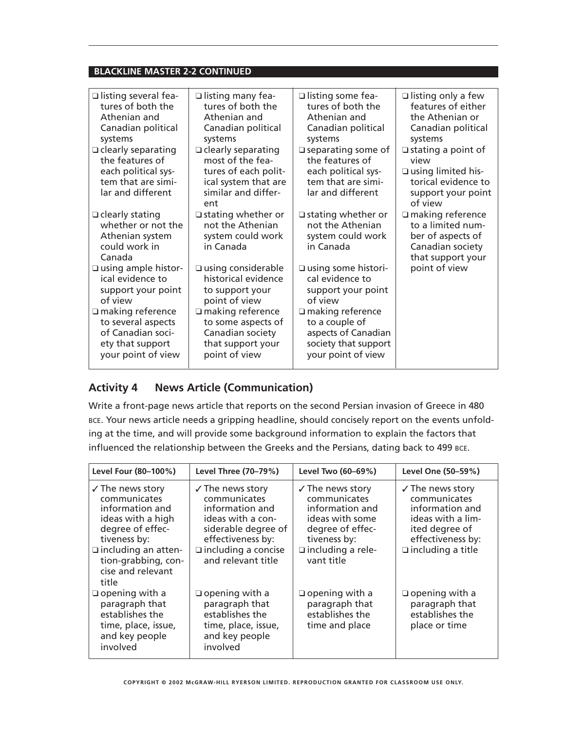| $\Box$ listing several fea-                                                                                    | $\Box$ listing many fea-                                                                                                    | $\Box$ listing some fea-                                                                                          | $\Box$ listing only a few                                                                                                 |
|----------------------------------------------------------------------------------------------------------------|-----------------------------------------------------------------------------------------------------------------------------|-------------------------------------------------------------------------------------------------------------------|---------------------------------------------------------------------------------------------------------------------------|
| tures of both the                                                                                              | tures of both the                                                                                                           | tures of both the                                                                                                 | features of either                                                                                                        |
| Athenian and                                                                                                   | Athenian and                                                                                                                | Athenian and                                                                                                      | the Athenian or                                                                                                           |
| Canadian political                                                                                             | Canadian political                                                                                                          | Canadian political                                                                                                | Canadian political                                                                                                        |
| systems                                                                                                        | systems                                                                                                                     | systems                                                                                                           | systems                                                                                                                   |
| $\Box$ clearly separating<br>the features of<br>each political sys-<br>tem that are simi-<br>lar and different | $\Box$ clearly separating<br>most of the fea-<br>tures of each polit-<br>ical system that are<br>similar and differ-<br>ent | $\square$ separating some of<br>the features of<br>each political sys-<br>tem that are simi-<br>lar and different | $\Box$ stating a point of<br>view<br>$\square$ using limited his-<br>torical evidence to<br>support your point<br>of view |
| $\Box$ clearly stating<br>whether or not the<br>Athenian system<br>could work in<br>Canada                     | $\Box$ stating whether or<br>not the Athenian<br>system could work<br>in Canada                                             | $\Box$ stating whether or<br>not the Athenian<br>system could work<br>in Canada                                   | $\Box$ making reference<br>to a limited num-<br>ber of aspects of<br>Canadian society<br>that support your                |
| □ using ample histor-                                                                                          | $\square$ using considerable                                                                                                | $\square$ using some histori-                                                                                     | point of view                                                                                                             |
| ical evidence to                                                                                               | historical evidence                                                                                                         | cal evidence to                                                                                                   |                                                                                                                           |
| support your point                                                                                             | to support your                                                                                                             | support your point                                                                                                |                                                                                                                           |
| of view                                                                                                        | point of view                                                                                                               | of view                                                                                                           |                                                                                                                           |
| $\square$ making reference                                                                                     | □ making reference                                                                                                          | $\square$ making reference                                                                                        |                                                                                                                           |
| to several aspects                                                                                             | to some aspects of                                                                                                          | to a couple of                                                                                                    |                                                                                                                           |
| of Canadian soci-                                                                                              | Canadian society                                                                                                            | aspects of Canadian                                                                                               |                                                                                                                           |
| ety that support                                                                                               | that support your                                                                                                           | society that support                                                                                              |                                                                                                                           |
| your point of view                                                                                             | point of view                                                                                                               | your point of view                                                                                                |                                                                                                                           |

### **Activity 4 News Article (Communication)**

Write a front-page news article that reports on the second Persian invasion of Greece in 480 BCE. Your news article needs a gripping headline, should concisely report on the events unfolding at the time, and will provide some background information to explain the factors that influenced the relationship between the Greeks and the Persians, dating back to 499 BCE.

| Level Four (80-100%)                                                                                                                                                                                       | Level Three (70–79%)                                                                                                                                                                | Level Two (60–69%)                                                                                                                                              | Level One (50-59%)                                                                                                                                  |
|------------------------------------------------------------------------------------------------------------------------------------------------------------------------------------------------------------|-------------------------------------------------------------------------------------------------------------------------------------------------------------------------------------|-----------------------------------------------------------------------------------------------------------------------------------------------------------------|-----------------------------------------------------------------------------------------------------------------------------------------------------|
| $\checkmark$ The news story<br>communicates<br>information and<br>ideas with a high<br>degree of effec-<br>tiveness by:<br>$\Box$ including an atten-<br>tion-grabbing, con-<br>cise and relevant<br>title | $\checkmark$ The news story<br>communicates<br>information and<br>ideas with a con-<br>siderable degree of<br>effectiveness by:<br>$\Box$ including a concise<br>and relevant title | $\checkmark$ The news story<br>communicates<br>information and<br>ideas with some<br>degree of effec-<br>tiveness by:<br>$\Box$ including a rele-<br>vant title | $\sqrt{}$ The news story<br>communicates<br>information and<br>ideas with a lim-<br>ited degree of<br>effectiveness by:<br>$\Box$ including a title |
| $\Box$ opening with a<br>paragraph that<br>establishes the<br>time, place, issue,<br>and key people<br>involved                                                                                            | $\Box$ opening with a<br>paragraph that<br>establishes the<br>time, place, issue,<br>and key people<br>involved                                                                     | $\Box$ opening with a<br>paragraph that<br>establishes the<br>time and place                                                                                    | $\Box$ opening with a<br>paragraph that<br>establishes the<br>place or time                                                                         |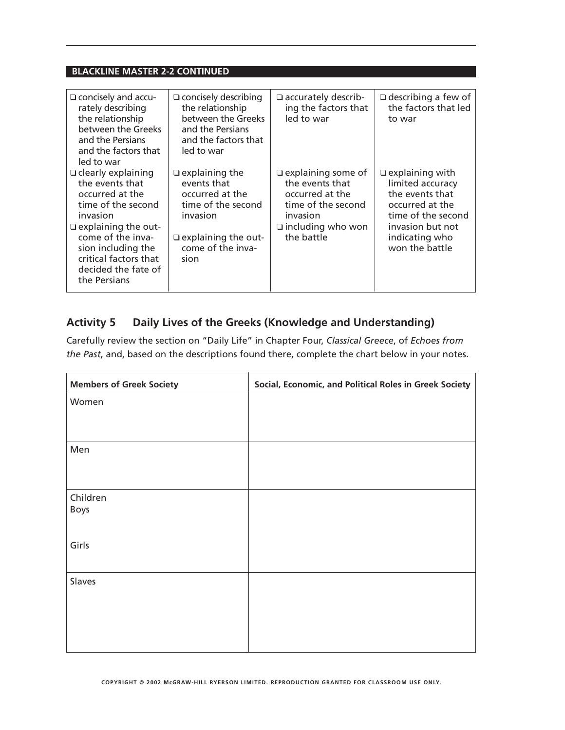| $\Box$ concisely and accu-<br>rately describing<br>the relationship<br>between the Greeks<br>and the Persians<br>and the factors that<br>led to war                                                                                        | $\Box$ concisely describing<br>the relationship<br>between the Greeks<br>and the Persians<br>and the factors that<br>led to war                      | $\Box$ accurately describ-<br>ing the factors that<br>led to war                                                                            | $\Box$ describing a few of<br>the factors that led<br>to war                                                                                                   |
|--------------------------------------------------------------------------------------------------------------------------------------------------------------------------------------------------------------------------------------------|------------------------------------------------------------------------------------------------------------------------------------------------------|---------------------------------------------------------------------------------------------------------------------------------------------|----------------------------------------------------------------------------------------------------------------------------------------------------------------|
| $\Box$ clearly explaining<br>the events that<br>occurred at the<br>time of the second<br>invasion<br>$\Box$ explaining the out-<br>come of the inva-<br>sion including the<br>critical factors that<br>decided the fate of<br>the Persians | $\Box$ explaining the<br>events that<br>occurred at the<br>time of the second<br>invasion<br>$\Box$ explaining the out-<br>come of the inva-<br>sion | $\Box$ explaining some of<br>the events that<br>occurred at the<br>time of the second<br>invasion<br>$\Box$ including who won<br>the battle | $\Box$ explaining with<br>limited accuracy<br>the events that<br>occurred at the<br>time of the second<br>invasion but not<br>indicating who<br>won the battle |

### **Activity 5 Daily Lives of the Greeks (Knowledge and Understanding)**

Carefully review the section on "Daily Life" in Chapter Four, *Classical Greece*, of *Echoes from the Past*, and, based on the descriptions found there, complete the chart below in your notes.

| <b>Members of Greek Society</b> | Social, Economic, and Political Roles in Greek Society |
|---------------------------------|--------------------------------------------------------|
| Women                           |                                                        |
|                                 |                                                        |
| Men                             |                                                        |
|                                 |                                                        |
|                                 |                                                        |
| Children                        |                                                        |
| <b>Boys</b>                     |                                                        |
|                                 |                                                        |
| Girls                           |                                                        |
| Slaves                          |                                                        |
|                                 |                                                        |
|                                 |                                                        |
|                                 |                                                        |
|                                 |                                                        |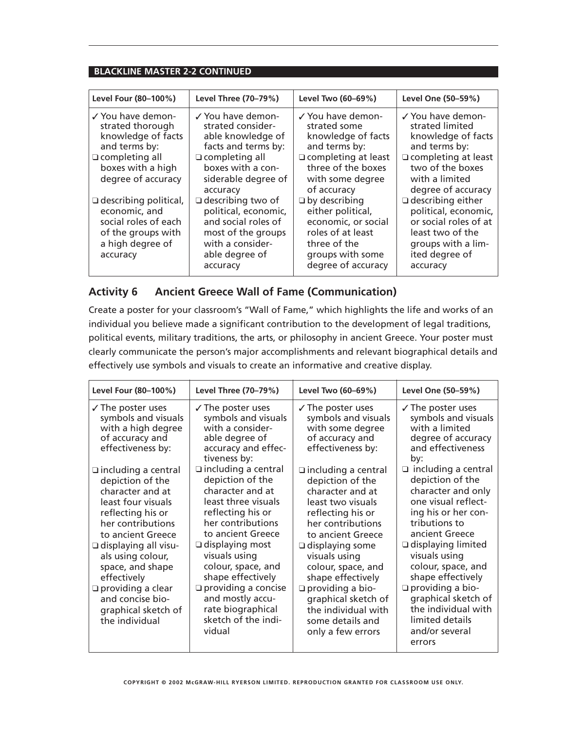| Level Four (80-100%)                                                                                                        | Level Three (70-79%)                                                                                                                       | Level Two (60-69%)                                                                                                                              | Level One (50-59%)                                                                                                                                |
|-----------------------------------------------------------------------------------------------------------------------------|--------------------------------------------------------------------------------------------------------------------------------------------|-------------------------------------------------------------------------------------------------------------------------------------------------|---------------------------------------------------------------------------------------------------------------------------------------------------|
| √ You have demon-<br>strated thorough<br>knowledge of facts<br>and terms by:                                                | √ You have demon-<br>strated consider-<br>able knowledge of<br>facts and terms by:                                                         | √ You have demon-<br>strated some<br>knowledge of facts<br>and terms by:                                                                        | √ You have demon-<br>strated limited<br>knowledge of facts<br>and terms by:                                                                       |
| $\Box$ completing all<br>boxes with a high<br>degree of accuracy                                                            | $\Box$ completing all<br>boxes with a con-<br>siderable degree of<br>accuracy                                                              | $\Box$ completing at least<br>three of the boxes<br>with some degree<br>of accuracy                                                             | $\Box$ completing at least<br>two of the boxes<br>with a limited<br>degree of accuracy                                                            |
| $\Box$ describing political,<br>economic, and<br>social roles of each<br>of the groups with<br>a high degree of<br>accuracy | □ describing two of<br>political, economic,<br>and social roles of<br>most of the groups<br>with a consider-<br>able degree of<br>accuracy | $\Box$ by describing<br>either political,<br>economic, or social<br>roles of at least<br>three of the<br>groups with some<br>degree of accuracy | $\Box$ describing either<br>political, economic,<br>or social roles of at<br>least two of the<br>groups with a lim-<br>ited degree of<br>accuracy |

### **Activity 6 Ancient Greece Wall of Fame (Communication)**

Create a poster for your classroom's "Wall of Fame," which highlights the life and works of an individual you believe made a significant contribution to the development of legal traditions, political events, military traditions, the arts, or philosophy in ancient Greece. Your poster must clearly communicate the person's major accomplishments and relevant biographical details and effectively use symbols and visuals to create an informative and creative display.

| Level Four (80-100%)                                                                                                                                                                                                                                                                                                                    | Level Three (70-79%)                                                                                                                                                                                                                                                                                                                                   | Level Two (60-69%)                                                                                                                                                                                                                                                                                                                                             | Level One (50-59%)                                                                                                                                                                                                                                                                                                                                                     |
|-----------------------------------------------------------------------------------------------------------------------------------------------------------------------------------------------------------------------------------------------------------------------------------------------------------------------------------------|--------------------------------------------------------------------------------------------------------------------------------------------------------------------------------------------------------------------------------------------------------------------------------------------------------------------------------------------------------|----------------------------------------------------------------------------------------------------------------------------------------------------------------------------------------------------------------------------------------------------------------------------------------------------------------------------------------------------------------|------------------------------------------------------------------------------------------------------------------------------------------------------------------------------------------------------------------------------------------------------------------------------------------------------------------------------------------------------------------------|
| $\sqrt{}$ The poster uses<br>symbols and visuals<br>with a high degree<br>of accuracy and<br>effectiveness by:                                                                                                                                                                                                                          | $\sqrt{}$ The poster uses<br>symbols and visuals<br>with a consider-<br>able degree of<br>accuracy and effec-<br>tiveness by:                                                                                                                                                                                                                          | $\sqrt{}$ The poster uses<br>symbols and visuals<br>with some degree<br>of accuracy and<br>effectiveness by:                                                                                                                                                                                                                                                   | $\sqrt{}$ The poster uses<br>symbols and visuals<br>with a limited<br>degree of accuracy<br>and effectiveness<br>by:                                                                                                                                                                                                                                                   |
| $\Box$ including a central<br>depiction of the<br>character and at<br>least four visuals<br>reflecting his or<br>her contributions<br>to ancient Greece<br>$\Box$ displaying all visu-<br>als using colour,<br>space, and shape<br>effectively<br>$\Box$ providing a clear<br>and concise bio-<br>graphical sketch of<br>the individual | $\Box$ including a central<br>depiction of the<br>character and at<br>least three visuals<br>reflecting his or<br>her contributions<br>to ancient Greece<br>$\Box$ displaying most<br>visuals using<br>colour, space, and<br>shape effectively<br>$\Box$ providing a concise<br>and mostly accu-<br>rate biographical<br>sketch of the indi-<br>vidual | $\Box$ including a central<br>depiction of the<br>character and at<br>least two visuals<br>reflecting his or<br>her contributions<br>to ancient Greece<br>$\Box$ displaying some<br>visuals using<br>colour, space, and<br>shape effectively<br>$\Box$ providing a bio-<br>graphical sketch of<br>the individual with<br>some details and<br>only a few errors | $\Box$ including a central<br>depiction of the<br>character and only<br>one visual reflect-<br>ing his or her con-<br>tributions to<br>ancient Greece<br>$\Box$ displaying limited<br>visuals using<br>colour, space, and<br>shape effectively<br>$\Box$ providing a bio-<br>graphical sketch of<br>the individual with<br>limited details<br>and/or several<br>errors |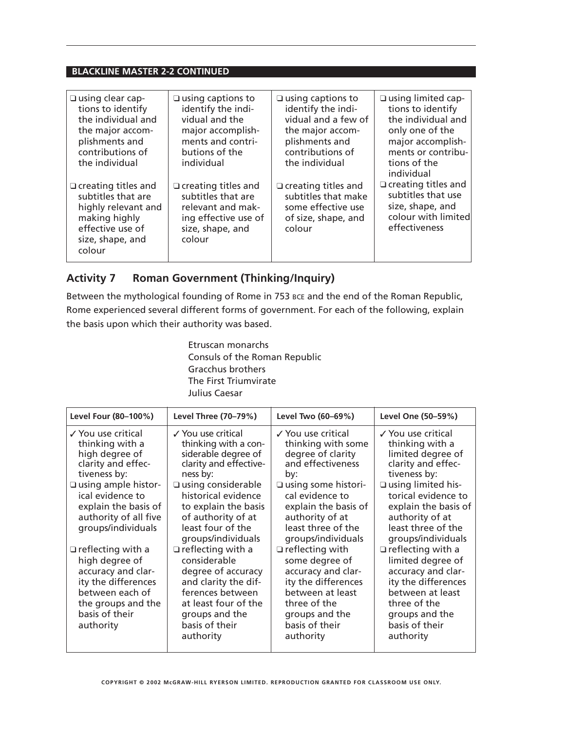| $\square$ using clear cap-                                                                                                                 | $\Box$ using captions to                                                                                                    | $\square$ using captions to                                                                              | $\square$ using limited cap-                                                                                               |
|--------------------------------------------------------------------------------------------------------------------------------------------|-----------------------------------------------------------------------------------------------------------------------------|----------------------------------------------------------------------------------------------------------|----------------------------------------------------------------------------------------------------------------------------|
| tions to identify                                                                                                                          | identify the indi-                                                                                                          | identify the indi-                                                                                       | tions to identify                                                                                                          |
| the individual and                                                                                                                         | vidual and the                                                                                                              | vidual and a few of                                                                                      | the individual and                                                                                                         |
| the major accom-                                                                                                                           | major accomplish-                                                                                                           | the major accom-                                                                                         | only one of the                                                                                                            |
| plishments and                                                                                                                             | ments and contri-                                                                                                           | plishments and                                                                                           | major accomplish-                                                                                                          |
| contributions of                                                                                                                           | butions of the                                                                                                              | contributions of                                                                                         | ments or contribu-                                                                                                         |
| the individual                                                                                                                             | individual                                                                                                                  | the individual                                                                                           | tions of the                                                                                                               |
| $\Box$ creating titles and<br>subtitles that are<br>highly relevant and<br>making highly<br>effective use of<br>size, shape, and<br>colour | $\Box$ creating titles and<br>subtitles that are<br>relevant and mak-<br>ing effective use of<br>size, shape, and<br>colour | $\Box$ creating titles and<br>subtitles that make<br>some effective use<br>of size, shape, and<br>colour | individual<br>$\Box$ creating titles and<br>subtitles that use<br>size, shape, and<br>colour with limited<br>effectiveness |

### **Activity 7 Roman Government (Thinking/Inquiry)**

Between the mythological founding of Rome in 753 BCE and the end of the Roman Republic, Rome experienced several different forms of government. For each of the following, explain the basis upon which their authority was based.

> Etruscan monarchs Consuls of the Roman Republic Gracchus brothers The First Triumvirate Julius Caesar

| Level Four (80-100%)                                                                                                                                                                                                      | Level Three (70–79%)                                                                                                                                                                                                                                    | Level Two (60-69%)                                                                                                                                                                                                                   | Level One (50-59%)                                                                                                                                                                                                                             |
|---------------------------------------------------------------------------------------------------------------------------------------------------------------------------------------------------------------------------|---------------------------------------------------------------------------------------------------------------------------------------------------------------------------------------------------------------------------------------------------------|--------------------------------------------------------------------------------------------------------------------------------------------------------------------------------------------------------------------------------------|------------------------------------------------------------------------------------------------------------------------------------------------------------------------------------------------------------------------------------------------|
| √ You use critical<br>thinking with a<br>high degree of<br>clarity and effec-<br>tiveness by:<br>$\square$ using ample histor-<br>ical evidence to<br>explain the basis of<br>authority of all five<br>groups/individuals | ✓ You use critical<br>thinking with a con-<br>siderable degree of<br>clarity and effective-<br>ness by:<br>$\square$ using considerable<br>historical evidence<br>to explain the basis<br>of authority of at<br>least four of the<br>groups/individuals | √ You use critical<br>thinking with some<br>degree of clarity<br>and effectiveness<br>by:<br>$\square$ using some histori-<br>cal evidence to<br>explain the basis of<br>authority of at<br>least three of the<br>groups/individuals | √ You use critical<br>thinking with a<br>limited degree of<br>clarity and effec-<br>tiveness by:<br>$\square$ using limited his-<br>torical evidence to<br>explain the basis of<br>authority of at<br>least three of the<br>groups/individuals |
| $\Box$ reflecting with a<br>high degree of<br>accuracy and clar-<br>ity the differences<br>between each of<br>the groups and the<br>basis of their<br>authority                                                           | $\Box$ reflecting with a<br>considerable<br>degree of accuracy<br>and clarity the dif-<br>ferences between<br>at least four of the<br>groups and the<br>basis of their<br>authority                                                                     | $\Box$ reflecting with<br>some degree of<br>accuracy and clar-<br>ity the differences<br>between at least<br>three of the<br>groups and the<br>basis of their<br>authority                                                           | $\Box$ reflecting with a<br>limited degree of<br>accuracy and clar-<br>ity the differences<br>between at least<br>three of the<br>groups and the<br>basis of their<br>authority                                                                |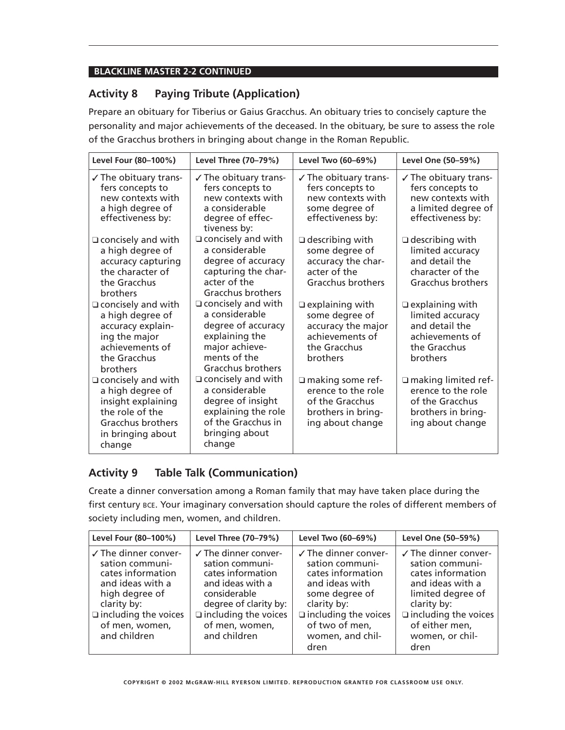### **Activity 8 Paying Tribute (Application)**

Prepare an obituary for Tiberius or Gaius Gracchus. An obituary tries to concisely capture the personality and major achievements of the deceased. In the obituary, be sure to assess the role of the Gracchus brothers in bringing about change in the Roman Republic.

| Level Four (80-100%)                                                                                                                       | Level Three (70-79%)                                                                                                                       | Level Two (60-69%)                                                                                               | Level One (50-59%)                                                                                                 |
|--------------------------------------------------------------------------------------------------------------------------------------------|--------------------------------------------------------------------------------------------------------------------------------------------|------------------------------------------------------------------------------------------------------------------|--------------------------------------------------------------------------------------------------------------------|
| $\checkmark$ The obituary trans-<br>fers concepts to<br>new contexts with<br>a high degree of<br>effectiveness by:                         | $\checkmark$ The obituary trans-<br>fers concepts to<br>new contexts with<br>a considerable<br>degree of effec-<br>tiveness by:            | $\checkmark$ The obituary trans-<br>fers concepts to<br>new contexts with<br>some degree of<br>effectiveness by: | $\sqrt{}$ The obituary trans-<br>fers concepts to<br>new contexts with<br>a limited degree of<br>effectiveness by: |
| $\Box$ concisely and with<br>a high degree of<br>accuracy capturing<br>the character of<br>the Gracchus<br>brothers                        | $\Box$ concisely and with<br>a considerable<br>degree of accuracy<br>capturing the char-<br>acter of the<br>Gracchus brothers              | $\Box$ describing with<br>some degree of<br>accuracy the char-<br>acter of the<br>Gracchus brothers              | $\Box$ describing with<br>limited accuracy<br>and detail the<br>character of the<br>Gracchus brothers              |
| $\Box$ concisely and with<br>a high degree of<br>accuracy explain-<br>ing the major<br>achievements of<br>the Gracchus<br>brothers         | $\Box$ concisely and with<br>a considerable<br>degree of accuracy<br>explaining the<br>major achieve-<br>ments of the<br>Gracchus brothers | $\Box$ explaining with<br>some degree of<br>accuracy the major<br>achievements of<br>the Gracchus<br>brothers    | $\Box$ explaining with<br>limited accuracy<br>and detail the<br>achievements of<br>the Gracchus<br>brothers        |
| $\Box$ concisely and with<br>a high degree of<br>insight explaining<br>the role of the<br>Gracchus brothers<br>in bringing about<br>change | $\Box$ concisely and with<br>a considerable<br>degree of insight<br>explaining the role<br>of the Gracchus in<br>bringing about<br>change  | $\Box$ making some ref-<br>erence to the role<br>of the Gracchus<br>brothers in bring-<br>ing about change       | $\Box$ making limited ref-<br>erence to the role<br>of the Gracchus<br>brothers in bring-<br>ing about change      |

### **Activity 9 Table Talk (Communication)**

Create a dinner conversation among a Roman family that may have taken place during the first century BCE. Your imaginary conversation should capture the roles of different members of society including men, women, and children.

| Level Four (80-100%)                                                                                                                                                                             | Level Three (70-79%)                                                                                                                                                                                  | Level Two (60-69%)                                                                                                                                                                              | Level One (50-59%)                                                                                                                                                                       |
|--------------------------------------------------------------------------------------------------------------------------------------------------------------------------------------------------|-------------------------------------------------------------------------------------------------------------------------------------------------------------------------------------------------------|-------------------------------------------------------------------------------------------------------------------------------------------------------------------------------------------------|------------------------------------------------------------------------------------------------------------------------------------------------------------------------------------------|
| $\checkmark$ The dinner conver-<br>sation communi-<br>cates information<br>and ideas with a<br>high degree of<br>clarity by:<br>$\square$ including the voices<br>of men, women,<br>and children | $\checkmark$ The dinner conver-<br>sation communi-<br>cates information<br>and ideas with a<br>considerable<br>degree of clarity by:<br>$\Box$ including the voices<br>of men, women,<br>and children | $\checkmark$ The dinner conver-<br>sation communi-<br>cates information<br>and ideas with<br>some degree of<br>clarity by:<br>$\Box$ including the voices<br>of two of men,<br>women, and chil- | √ The dinner conver-<br>sation communi-<br>cates information<br>and ideas with a<br>limited degree of<br>clarity by:<br>$\Box$ including the voices<br>of either men,<br>women, or chil- |
|                                                                                                                                                                                                  |                                                                                                                                                                                                       | dren                                                                                                                                                                                            | dren                                                                                                                                                                                     |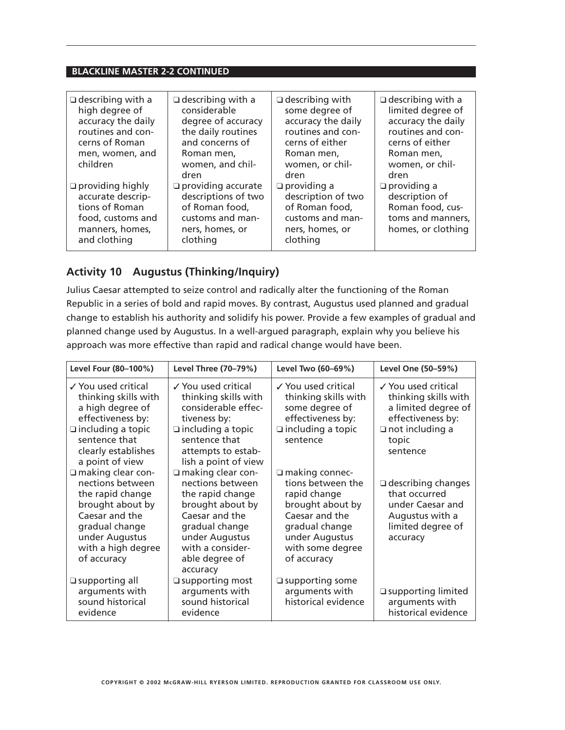| $\Box$ describing with a<br>high degree of<br>accuracy the daily<br>routines and con-<br>cerns of Roman<br>men, women, and<br>children | $\Box$ describing with a<br>considerable<br>degree of accuracy<br>the daily routines<br>and concerns of<br>Roman men,<br>women, and chil-<br>dren | $\Box$ describing with<br>some degree of<br>accuracy the daily<br>routines and con-<br>cerns of either<br>Roman men,<br>women, or chil-<br>dren | $\Box$ describing with a<br>limited degree of<br>accuracy the daily<br>routines and con-<br>cerns of either<br>Roman men,<br>women, or chil-<br>dren |
|----------------------------------------------------------------------------------------------------------------------------------------|---------------------------------------------------------------------------------------------------------------------------------------------------|-------------------------------------------------------------------------------------------------------------------------------------------------|------------------------------------------------------------------------------------------------------------------------------------------------------|
| $\Box$ providing highly<br>accurate descrip-<br>tions of Roman<br>food, customs and<br>manners, homes,<br>and clothing                 | $\Box$ providing accurate<br>descriptions of two<br>of Roman food,<br>customs and man-<br>ners, homes, or<br>clothing                             | $\Box$ providing a<br>description of two<br>of Roman food,<br>customs and man-<br>ners, homes, or<br>clothing                                   | $\Box$ providing a<br>description of<br>Roman food, cus-<br>toms and manners,<br>homes, or clothing                                                  |

### **Activity 10 Augustus (Thinking/Inquiry)**

Julius Caesar attempted to seize control and radically alter the functioning of the Roman Republic in a series of bold and rapid moves. By contrast, Augustus used planned and gradual change to establish his authority and solidify his power. Provide a few examples of gradual and planned change used by Augustus. In a well-argued paragraph, explain why you believe his approach was more effective than rapid and radical change would have been.

| Level Four (80-100%)                                                                                                                                                        | Level Three (70-79%)                                                                                                                                                                         | Level Two (60-69%)                                                                                                                                                      | Level One (50-59%)                                                                                                                     |
|-----------------------------------------------------------------------------------------------------------------------------------------------------------------------------|----------------------------------------------------------------------------------------------------------------------------------------------------------------------------------------------|-------------------------------------------------------------------------------------------------------------------------------------------------------------------------|----------------------------------------------------------------------------------------------------------------------------------------|
| ✓ You used critical<br>thinking skills with<br>a high degree of<br>effectiveness by:<br>$\Box$ including a topic<br>sentence that<br>clearly establishes<br>a point of view | ✓ You used critical<br>thinking skills with<br>considerable effec-<br>tiveness by:<br>$\Box$ including a topic<br>sentence that<br>attempts to estab-<br>lish a point of view                | ✓ You used critical<br>thinking skills with<br>some degree of<br>effectiveness by:<br>$\Box$ including a topic<br>sentence                                              | √ You used critical<br>thinking skills with<br>a limited degree of<br>effectiveness by:<br>$\Box$ not including a<br>topic<br>sentence |
| □ making clear con-<br>nections between<br>the rapid change<br>brought about by<br>Caesar and the<br>gradual change<br>under Augustus<br>with a high degree<br>of accuracy  | $\Box$ making clear con-<br>nections between<br>the rapid change<br>brought about by<br>Caesar and the<br>gradual change<br>under Augustus<br>with a consider-<br>able degree of<br>accuracy | $\Box$ making connec-<br>tions between the<br>rapid change<br>brought about by<br>Caesar and the<br>gradual change<br>under Augustus<br>with some degree<br>of accuracy | $\Box$ describing changes<br>that occurred<br>under Caesar and<br>Augustus with a<br>limited degree of<br>accuracy                     |
| □ supporting all<br>arguments with<br>sound historical<br>evidence                                                                                                          | $\square$ supporting most<br>arguments with<br>sound historical<br>evidence                                                                                                                  | $\square$ supporting some<br>arguments with<br>historical evidence                                                                                                      | $\Box$ supporting limited<br>arguments with<br>historical evidence                                                                     |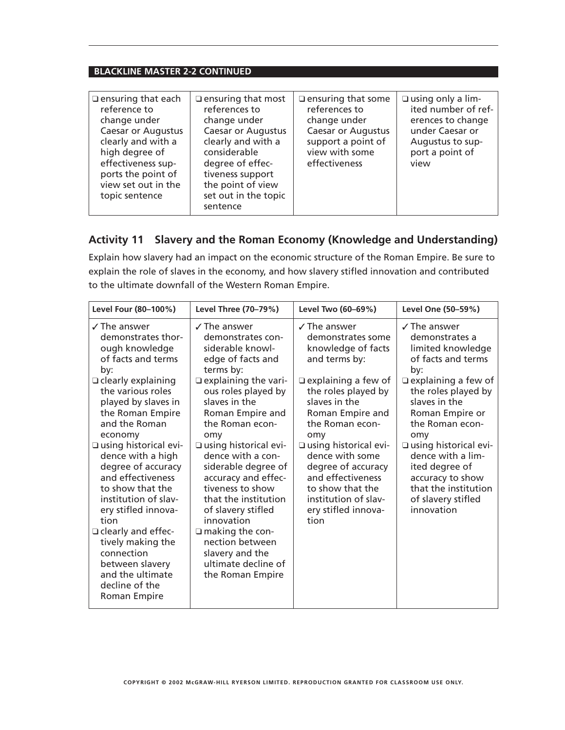| $\Box$ ensuring that each<br>$\Box$ ensuring that most<br>references to<br>reference to<br>change under<br>change under<br><b>Caesar or Augustus</b><br><b>Caesar or Augustus</b><br>clearly and with a<br>clearly and with a<br>considerable<br>high degree of<br>effectiveness sup-<br>degree of effec-<br>ports the point of<br>tiveness support<br>the point of view<br>view set out in the<br>set out in the topic<br>topic sentence<br>sentence | $\square$ using only a lim-<br>$\Box$ ensuring that some<br>references to<br>ited number of ref-<br>change under<br>erences to change<br><b>Caesar or Augustus</b><br>under Caesar or<br>support a point of<br>Augustus to sup-<br>view with some<br>port a point of<br>effectiveness<br>view |
|-------------------------------------------------------------------------------------------------------------------------------------------------------------------------------------------------------------------------------------------------------------------------------------------------------------------------------------------------------------------------------------------------------------------------------------------------------|-----------------------------------------------------------------------------------------------------------------------------------------------------------------------------------------------------------------------------------------------------------------------------------------------|
|-------------------------------------------------------------------------------------------------------------------------------------------------------------------------------------------------------------------------------------------------------------------------------------------------------------------------------------------------------------------------------------------------------------------------------------------------------|-----------------------------------------------------------------------------------------------------------------------------------------------------------------------------------------------------------------------------------------------------------------------------------------------|

### **Activity 11 Slavery and the Roman Economy (Knowledge and Understanding)**

Explain how slavery had an impact on the economic structure of the Roman Empire. Be sure to explain the role of slaves in the economy, and how slavery stifled innovation and contributed to the ultimate downfall of the Western Roman Empire.

| Level Four (80-100%)                                                                                                                                                                                                                                                                                                                                                                                                                                                                                                        | Level Three (70-79%)                                                                                                                                                                                                                                                                                                                                                                                                                                                                                       | Level Two (60-69%)                                                                                                                                                                                                                                                                                                                                                       | Level One (50-59%)                                                                                                                                                                                                                                                                                                                                            |
|-----------------------------------------------------------------------------------------------------------------------------------------------------------------------------------------------------------------------------------------------------------------------------------------------------------------------------------------------------------------------------------------------------------------------------------------------------------------------------------------------------------------------------|------------------------------------------------------------------------------------------------------------------------------------------------------------------------------------------------------------------------------------------------------------------------------------------------------------------------------------------------------------------------------------------------------------------------------------------------------------------------------------------------------------|--------------------------------------------------------------------------------------------------------------------------------------------------------------------------------------------------------------------------------------------------------------------------------------------------------------------------------------------------------------------------|---------------------------------------------------------------------------------------------------------------------------------------------------------------------------------------------------------------------------------------------------------------------------------------------------------------------------------------------------------------|
| $\angle$ The answer<br>demonstrates thor-<br>ough knowledge<br>of facts and terms<br>by:<br>□ clearly explaining<br>the various roles<br>played by slaves in<br>the Roman Empire<br>and the Roman<br>economy<br>□ using historical evi-<br>dence with a high<br>degree of accuracy<br>and effectiveness<br>to show that the<br>institution of slav-<br>ery stifled innova-<br>tion<br>$\Box$ clearly and effec-<br>tively making the<br>connection<br>between slavery<br>and the ultimate<br>decline of the<br>Roman Empire | $\chi$ The answer<br>demonstrates con-<br>siderable knowl-<br>edge of facts and<br>terms by:<br>$\Box$ explaining the vari-<br>ous roles played by<br>slaves in the<br>Roman Empire and<br>the Roman econ-<br>omy<br>□ using historical evi-<br>dence with a con-<br>siderable degree of<br>accuracy and effec-<br>tiveness to show<br>that the institution<br>of slavery stifled<br>innovation<br>$\Box$ making the con-<br>nection between<br>slavery and the<br>ultimate decline of<br>the Roman Empire | $\sqrt{}$ The answer<br>demonstrates some<br>knowledge of facts<br>and terms by:<br>$\Box$ explaining a few of<br>the roles played by<br>slaves in the<br>Roman Empire and<br>the Roman econ-<br>omy<br>□ using historical evi-<br>dence with some<br>degree of accuracy<br>and effectiveness<br>to show that the<br>institution of slav-<br>ery stifled innova-<br>tion | $\sqrt{}$ The answer<br>demonstrates a<br>limited knowledge<br>of facts and terms<br>by:<br>$\Box$ explaining a few of<br>the roles played by<br>slaves in the<br>Roman Empire or<br>the Roman econ-<br>omy<br>□ using historical evi-<br>dence with a lim-<br>ited degree of<br>accuracy to show<br>that the institution<br>of slavery stifled<br>innovation |